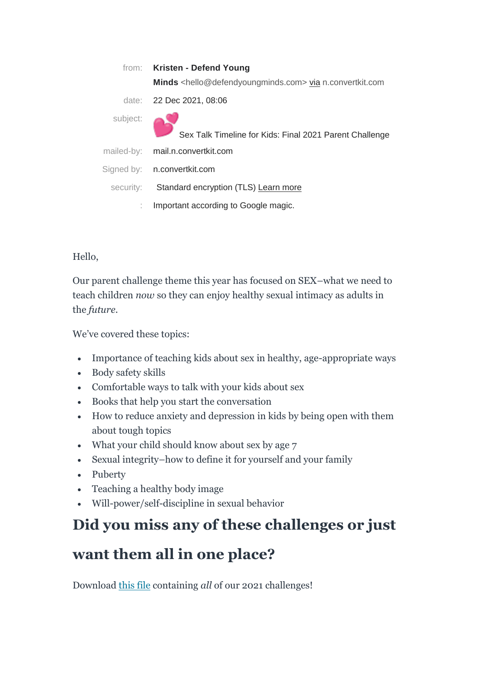|           | from: Kristen - Defend Young                                                         |
|-----------|--------------------------------------------------------------------------------------|
|           | Minds <hello@defendyoungminds.com> via n.convertkit.com</hello@defendyoungminds.com> |
|           | date: 22 Dec 2021, 08:06                                                             |
| subject:  | Sex Talk Timeline for Kids: Final 2021 Parent Challenge                              |
|           | mailed-by: mail.n.convertkit.com                                                     |
|           | Signed by: n.convertkit.com                                                          |
| security: | Standard encryption (TLS) Learn more                                                 |
|           | Important according to Google magic.                                                 |

Hello,

Our parent challenge theme this year has focused on SEX–what we need to teach children *now* so they can enjoy healthy sexual intimacy as adults in the *future*.

We've covered these topics:

- Importance of teaching kids about sex in healthy, age-appropriate ways
- Body safety skills
- Comfortable ways to talk with your kids about sex
- Books that help you start the conversation
- How to reduce anxiety and depression in kids by being open with them about tough topics
- What your child should know about sex by age 7
- Sexual integrity–how to define it for yourself and your family
- Puberty
- Teaching a healthy body image
- Will-power/self-discipline in sexual behavior

# **Did you miss any of these challenges or just**

# **want them all in one place?**

Download [this file](https://click.convertkit-mail.com/wvulvnopr4tghle78ea7/58hvh8u57m3gemb7/aHR0cHM6Ly9kb3dubG9hZC5maWxla2l0Y2RuLmNvbS9kL2NQeGd0OFdpNVZyREplVDFNSDlLZHMvcXdUWHFEVTc2QzFxcVVGcWNZNVRFZg==) containing *all* of our 2021 challenges!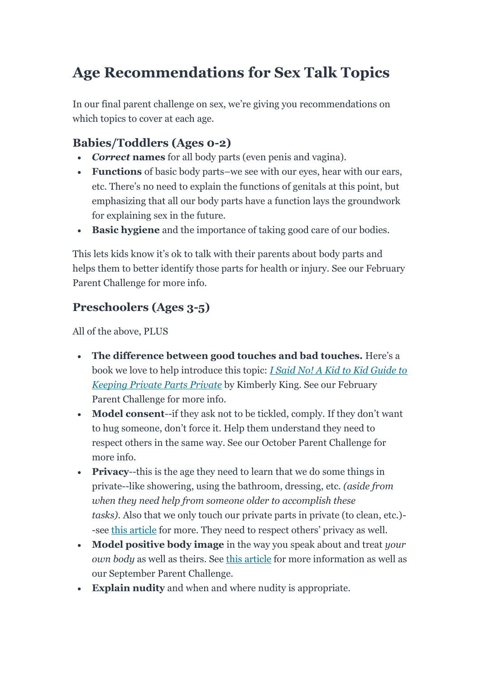# **Age Recommendations for Sex Talk Topics**

In our final parent challenge on sex, we're giving you recommendations on which topics to cover at each age.

### **Babies/Toddlers (Ages 0-2)**

- *Correct* **names** for all body parts (even penis and vagina).
- **Functions** of basic body parts–we see with our eyes, hear with our ears, etc. There's no need to explain the functions of genitals at this point, but emphasizing that all our body parts have a function lays the groundwork for explaining sex in the future.
- **Basic hygiene** and the importance of taking good care of our bodies.

This lets kids know it's ok to talk with their parents about body parts and helps them to better identify those parts for health or injury. See our February Parent Challenge for more info*.*

## **Preschoolers (Ages 3-5)**

- **The difference between good touches and bad touches.** Here's a book we love to help introduce this topic: *[I Said No! A Kid to Kid Guide to](https://click.convertkit-mail.com/wvulvnopr4tghle78ea7/g3hnhwuep3gmvpa3/aHR0cHM6Ly9hbXpuLnRvLzNFWUhpUnk=)  [Keeping Private Parts Private](https://click.convertkit-mail.com/wvulvnopr4tghle78ea7/g3hnhwuep3gmvpa3/aHR0cHM6Ly9hbXpuLnRvLzNFWUhpUnk=)* by Kimberly King. See our February Parent Challenge for more info.
- **Model consent**--if they ask not to be tickled, comply. If they don't want to hug someone, don't force it. Help them understand they need to respect others in the same way. See our October Parent Challenge for more info.
- **Privacy**--this is the age they need to learn that we do some things in private--like showering, using the bathroom, dressing, etc. *(aside from when they need help from someone older to accomplish these tasks).* Also that we only touch our private parts in private (to clean, etc.)- -see [this article](https://click.convertkit-mail.com/wvulvnopr4tghle78ea7/9qhzhdug9p4d7ntz/aHR0cHM6Ly93d3cuZGVmZW5keW91bmdtaW5kcy5jb20vcG9zdC9kby15b3Uta25vdy13aHkta2lkcy1tYXN0dXJiYXRlLXRoZXJhcGlzdC1naXZlcy01LXJlYXNvbnMtdG9wLXRpcHMtaGVhbHRoeS1yZXNwb25zZS1wbGFu) for more. They need to respect others' privacy as well.
- **Model positive body image** in the way you speak about and treat *your own body* as well as theirs. See [this article](https://click.convertkit-mail.com/wvulvnopr4tghle78ea7/3ohphduqz7x3wxbp/aHR0cHM6Ly93d3cuZGVmZW5keW91bmdtaW5kcy5jb20vcG9zdC95b3VyLWRhdWdodGVycy1ib2R5LWltYWdlLWhlYWx0aHktb3Itc2hhbWVmdWwtNC13YXlzLXRvLWNvdW50ZXJhY3QtdG94aWMtbWVkaWE=) for more information as well as our September Parent Challenge.
- **Explain nudity** and when and where nudity is appropriate.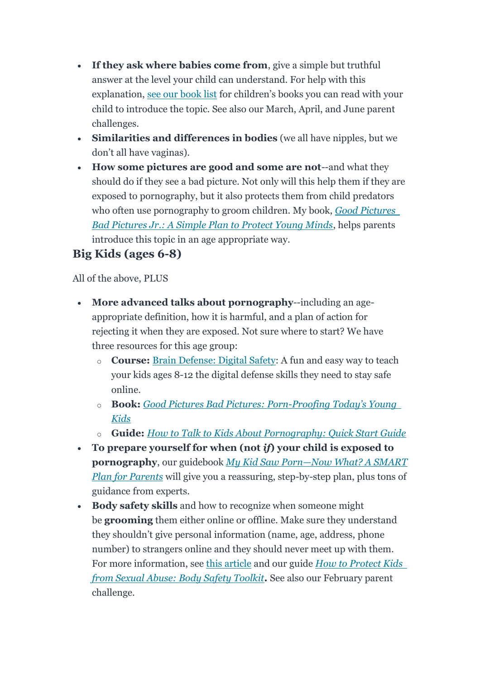- **If they ask where babies come from**, give a simple but truthful answer at the level your child can understand. For help with this explanation, [see our book list](https://click.convertkit-mail.com/wvulvnopr4tghle78ea7/n2hohqunr32vdmu0/aHR0cHM6Ly93d3cuZGVmZW5keW91bmdtaW5kcy5jb20vcG9zdC9sZXRzLXRhbGstYWJvdXQtc2V4LTgtYm9va3MtdG8tcmVhZC10b2dldGhlcg==) for children's books you can read with your child to introduce the topic. See also our March, April, and June parent challenges.
- **Similarities and differences in bodies** (we all have nipples, but we don't all have vaginas).
- **How some pictures are good and some are not**--and what they should do if they see a bad picture. Not only will this help them if they are exposed to pornography, but it also protects them from child predators who often use pornography to groom children. My book, *[Good Pictures](https://click.convertkit-mail.com/wvulvnopr4tghle78ea7/48hvh7u0grwmolfq/aHR0cHM6Ly93d3cuZGVmZW5keW91bmdtaW5kcy5jb20vcHJvZHVjdC9nb29kLXBpY3R1cmVzLWJhZC1waWN0dXJlcy1qcg==)  [Bad Pictures Jr.: A Simple Plan to Protect Young Minds](https://click.convertkit-mail.com/wvulvnopr4tghle78ea7/48hvh7u0grwmolfq/aHR0cHM6Ly93d3cuZGVmZW5keW91bmdtaW5kcy5jb20vcHJvZHVjdC9nb29kLXBpY3R1cmVzLWJhZC1waWN0dXJlcy1qcg==)*, helps parents introduce this topic in an age appropriate way.

### **Big Kids (ages 6-8)**

- **More advanced talks about pornography**--including an ageappropriate definition, how it is harmful, and a plan of action for rejecting it when they are exposed. Not sure where to start? We have three resources for this age group:
	- o **Course:** [Brain Defense: Digital Safety:](https://click.convertkit-mail.com/wvulvnopr4tghle78ea7/wnh2h6urgwmqz6ul/aHR0cHM6Ly93d3cuZGVmZW5keW91bmdtaW5kcy5jb20vYnJhaW4tZGVmZW5zZS9mYW1pbHk=) A fun and easy way to teach your kids ages 8-12 the digital defense skills they need to stay safe online.
	- o **Book:** *[Good Pictures Bad Pictures: Porn-](https://click.convertkit-mail.com/wvulvnopr4tghle78ea7/reh8h9uqx0km8rf6/aHR0cHM6Ly93d3cuZGVmZW5keW91bmdtaW5kcy5jb20vcHJvZHVjdC9nb29kLXBpY3R1cmVzLWJhZC1waWN0dXJlcw==)Proofing Today's Young [Kids](https://click.convertkit-mail.com/wvulvnopr4tghle78ea7/reh8h9uqx0km8rf6/aHR0cHM6Ly93d3cuZGVmZW5keW91bmdtaW5kcy5jb20vcHJvZHVjdC9nb29kLXBpY3R1cmVzLWJhZC1waWN0dXJlcw==)*
	- o **Guide:** *[How to Talk to Kids About Pornography: Quick Start Guide](https://click.convertkit-mail.com/wvulvnopr4tghle78ea7/8ghqh3ug9lwo4mil/aHR0cHM6Ly93d3cuZGVmZW5keW91bmdtaW5kcy5jb20vcHJvZHVjdC9xdWljay1zdGFydC1ndWlkZQ==)*
- **To prepare yourself for when (not** *if***) your child is exposed to pornography**, our guidebook *My Kid Saw Porn—[Now What? A SMART](https://click.convertkit-mail.com/wvulvnopr4tghle78ea7/vqh3hmungpmo5wiw/aHR0cHM6Ly93d3cuZGVmZW5keW91bmdtaW5kcy5jb20vcHJvZHVjdC9zbWFydC1wbGFuLWZvci1wYXJlbnRz)  [Plan for Parents](https://click.convertkit-mail.com/wvulvnopr4tghle78ea7/vqh3hmungpmo5wiw/aHR0cHM6Ly93d3cuZGVmZW5keW91bmdtaW5kcy5jb20vcHJvZHVjdC9zbWFydC1wbGFuLWZvci1wYXJlbnRz)* will give you a reassuring, step-by-step plan, plus tons of guidance from experts.
- **Body safety skills** and how to recognize when someone might be **grooming** them either online or offline. Make sure they understand they shouldn't give personal information (name, age, address, phone number) to strangers online and they should never meet up with them. For more information, see [this article](https://click.convertkit-mail.com/wvulvnopr4tghle78ea7/l2heh6uor3qlgdhg/aHR0cHM6Ly93d3cuZGVmZW5keW91bmdtaW5kcy5jb20vcG9zdC8zLWJpZy1yZWQtZmxhZ3Mtc2V4dWFsLWFidXNl) and our guide *[How to Protect Kids](https://click.convertkit-mail.com/wvulvnopr4tghle78ea7/m2h7h6uoe823rxul/aHR0cHM6Ly93d3cuZGVmZW5keW91bmdtaW5kcy5jb20vcHJvZHVjdC9ib2R5LXNhZmV0eS10b29sa2l0)  [from Sexual Abuse: Body Safety Toolkit](https://click.convertkit-mail.com/wvulvnopr4tghle78ea7/m2h7h6uoe823rxul/aHR0cHM6Ly93d3cuZGVmZW5keW91bmdtaW5kcy5jb20vcHJvZHVjdC9ib2R5LXNhZmV0eS10b29sa2l0)***.** See also our February parent challenge.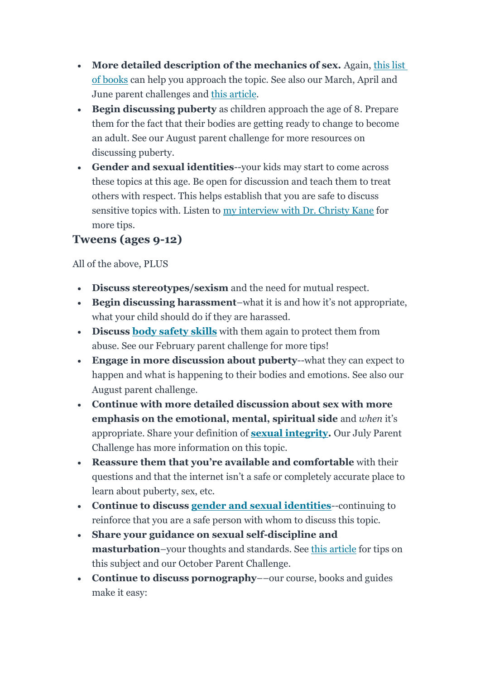- More detailed description of the mechanics of sex. Again, this list [of books](https://click.convertkit-mail.com/wvulvnopr4tghle78ea7/n2hohqunr32vdmu0/aHR0cHM6Ly93d3cuZGVmZW5keW91bmdtaW5kcy5jb20vcG9zdC9sZXRzLXRhbGstYWJvdXQtc2V4LTgtYm9va3MtdG8tcmVhZC10b2dldGhlcg==) can help you approach the topic. See also our March, April and June parent challenges and [this article.](https://click.convertkit-mail.com/wvulvnopr4tghle78ea7/dphehmuq50de33hl/aHR0cHM6Ly93d3cuZGVmZW5keW91bmdtaW5kcy5jb20vcG9zdC83LXRoaW5ncy1zZXZlbi15ZWFyLW9sZC1zaG91bGQta25vdy1sb3ZlLXNleA==)
- **Begin discussing puberty** as children approach the age of 8. Prepare them for the fact that their bodies are getting ready to change to become an adult. See our August parent challenge for more resources on discussing puberty.
- **Gender and sexual identities**--your kids may start to come across these topics at this age. Be open for discussion and teach them to treat others with respect. This helps establish that you are safe to discuss sensitive topics with. Listen to [my interview with Dr. Christy Kane](https://click.convertkit-mail.com/wvulvnopr4tghle78ea7/e0hph0uk40mq99a7/aHR0cHM6Ly93d3cuZGVmZW5keW91bmdtaW5kcy5jb20vcG9zdC90YWxraW5nLXRvLWtpZHMtYWJvdXQtc2V4LXN1cnByaXNpbmctd2F5LXJlZHVjZS1hbnhpZXR5LWRlcHJlc3Npb24=) for more tips.

#### **Tweens (ages 9-12)**

- **Discuss stereotypes/sexism** and the need for mutual respect.
- **Begin discussing harassment**–what it is and how it's not appropriate, what your child should do if they are harassed.
- **Discuss [body safety skills](https://click.convertkit-mail.com/wvulvnopr4tghle78ea7/m2h7h6uoe823rxul/aHR0cHM6Ly93d3cuZGVmZW5keW91bmdtaW5kcy5jb20vcHJvZHVjdC9ib2R5LXNhZmV0eS10b29sa2l0)** with them again to protect them from abuse. See our February parent challenge for more tips!
- **Engage in more discussion about puberty**--what they can expect to happen and what is happening to their bodies and emotions. See also our August parent challenge.
- **Continue with more detailed discussion about sex with more emphasis on the emotional, mental, spiritual side** and *when* it's appropriate. Share your definition of **[sexual integrity.](https://click.convertkit-mail.com/wvulvnopr4tghle78ea7/7qh7h2u0zodwvkt9/aHR0cHM6Ly93d3cuZGVmZW5keW91bmdtaW5kcy5jb20vcG9zdC8zLXdheXMtdG8tZGVmaW5lLXNleHVhbC1pbnRlZ3JpdHktZm9yLXlvdXIta2lkcy1hbmQtd2h5LXlvdS1tdXN0)** Our July Parent Challenge has more information on this topic.
- **Reassure them that you're available and comfortable** with their questions and that the internet isn't a safe or completely accurate place to learn about puberty, sex, etc.
- **Continue to discuss [gender and sexual identities](https://click.convertkit-mail.com/wvulvnopr4tghle78ea7/e0hph0uk40mq99a7/aHR0cHM6Ly93d3cuZGVmZW5keW91bmdtaW5kcy5jb20vcG9zdC90YWxraW5nLXRvLWtpZHMtYWJvdXQtc2V4LXN1cnByaXNpbmctd2F5LXJlZHVjZS1hbnhpZXR5LWRlcHJlc3Npb24=)**--continuing to reinforce that you are a safe person with whom to discuss this topic.
- **Share your guidance on sexual self-discipline and masturbation**–your thoughts and standards. See [this article](https://click.convertkit-mail.com/wvulvnopr4tghle78ea7/9qhzhdug9p4d7ntz/aHR0cHM6Ly93d3cuZGVmZW5keW91bmdtaW5kcy5jb20vcG9zdC9kby15b3Uta25vdy13aHkta2lkcy1tYXN0dXJiYXRlLXRoZXJhcGlzdC1naXZlcy01LXJlYXNvbnMtdG9wLXRpcHMtaGVhbHRoeS1yZXNwb25zZS1wbGFu) for tips on this subject and our October Parent Challenge.
- **Continue to discuss pornography**––our course, books and guides make it easy: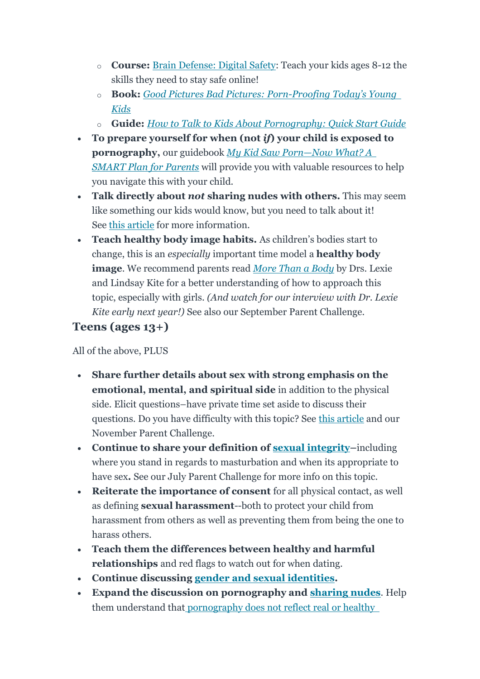- o **Course:** [Brain Defense: Digital Safety:](https://click.convertkit-mail.com/wvulvnopr4tghle78ea7/wnh2h6urgwmqz6ul/aHR0cHM6Ly93d3cuZGVmZW5keW91bmdtaW5kcy5jb20vYnJhaW4tZGVmZW5zZS9mYW1pbHk=) Teach your kids ages 8-12 the skills they need to stay safe online!
- o **Book:** *[Good Pictures Bad Pictures: Porn-](https://click.convertkit-mail.com/wvulvnopr4tghle78ea7/reh8h9uqx0km8rf6/aHR0cHM6Ly93d3cuZGVmZW5keW91bmdtaW5kcy5jb20vcHJvZHVjdC9nb29kLXBpY3R1cmVzLWJhZC1waWN0dXJlcw==)Proofing Today's Young [Kids](https://click.convertkit-mail.com/wvulvnopr4tghle78ea7/reh8h9uqx0km8rf6/aHR0cHM6Ly93d3cuZGVmZW5keW91bmdtaW5kcy5jb20vcHJvZHVjdC9nb29kLXBpY3R1cmVzLWJhZC1waWN0dXJlcw==)*
- o **Guide:** *[How to Talk to Kids About Pornography: Quick Start Guide](https://click.convertkit-mail.com/wvulvnopr4tghle78ea7/8ghqh3ug9lwo4mil/aHR0cHM6Ly93d3cuZGVmZW5keW91bmdtaW5kcy5jb20vcHJvZHVjdC9xdWljay1zdGFydC1ndWlkZQ==)*
- **To prepare yourself for when (not** *if***) your child is exposed to pornography,** our guidebook *[My Kid Saw Porn](https://click.convertkit-mail.com/wvulvnopr4tghle78ea7/vqh3hmungpmo5wiw/aHR0cHM6Ly93d3cuZGVmZW5keW91bmdtaW5kcy5jb20vcHJvZHVjdC9zbWFydC1wbGFuLWZvci1wYXJlbnRz)—Now What? A [SMART Plan for Parents](https://click.convertkit-mail.com/wvulvnopr4tghle78ea7/vqh3hmungpmo5wiw/aHR0cHM6Ly93d3cuZGVmZW5keW91bmdtaW5kcy5jb20vcHJvZHVjdC9zbWFydC1wbGFuLWZvci1wYXJlbnRz)* will provide you with valuable resources to help you navigate this with your child.
- **Talk directly about** *not* **sharing nudes with others.** This may seem like something our kids would know, but you need to talk about it! See [this article](https://click.convertkit-mail.com/wvulvnopr4tghle78ea7/z2hgh7uow35p97sz/aHR0cHM6Ly93d3cuZGVmZW5keW91bmdtaW5kcy5jb20vcG9zdC9zZW5kaW5nLW51ZGVzLXN0YXJ0aW5nLWNvbnZvLWVhcmx5LTMtdGlwcy1zbWFydC1wYXJlbnRz) for more information.
- **Teach healthy body image habits.** As children's bodies start to change, this is an *especially* important time model a **healthy body image**. We recommend parents read *[More Than a Body](https://click.convertkit-mail.com/wvulvnopr4tghle78ea7/p8hehqu9xzrgk5tr/aHR0cHM6Ly9hbXpuLnRvLzNGMHFFUkc=)* by Drs. Lexie and Lindsay Kite for a better understanding of how to approach this topic, especially with girls. *(And watch for our interview with Dr. Lexie Kite early next year!)* See also our September Parent Challenge.

### **Teens (ages 13+)**

- **Share further details about sex with strong emphasis on the emotional, mental, and spiritual side** in addition to the physical side. Elicit questions–have private time set aside to discuss their questions. Do you have difficulty with this topic? See [this article](https://click.convertkit-mail.com/wvulvnopr4tghle78ea7/x0hph3un3wk98lig/aHR0cHM6Ly93d3cuZGVmZW5keW91bmdtaW5kcy5jb20vcG9zdC9tb21zLWRpbGVtbWEtdGVhY2gtaGVhbHRoeS1zZXh1YWwtYXR0aXR1ZGVzLWRvbnQtZW5qb3ktc2V4) and our November Parent Challenge.
- **Continue to share your definition of [sexual integrity](https://click.convertkit-mail.com/wvulvnopr4tghle78ea7/7qh7h2u0zodwvkt9/aHR0cHM6Ly93d3cuZGVmZW5keW91bmdtaW5kcy5jb20vcG9zdC8zLXdheXMtdG8tZGVmaW5lLXNleHVhbC1pbnRlZ3JpdHktZm9yLXlvdXIta2lkcy1hbmQtd2h5LXlvdS1tdXN0)–**including where you stand in regards to masturbation and when its appropriate to have sex**.** See our July Parent Challenge for more info on this topic.
- **Reiterate the importance of consent** for all physical contact, as well as defining **sexual harassment**--both to protect your child from harassment from others as well as preventing them from being the one to harass others.
- **Teach them the differences between healthy and harmful relationships** and red flags to watch out for when dating.
- **Continue discussing [gender and sexual identities.](https://click.convertkit-mail.com/wvulvnopr4tghle78ea7/e0hph0uk40mq99a7/aHR0cHM6Ly93d3cuZGVmZW5keW91bmdtaW5kcy5jb20vcG9zdC90YWxraW5nLXRvLWtpZHMtYWJvdXQtc2V4LXN1cnByaXNpbmctd2F5LXJlZHVjZS1hbnhpZXR5LWRlcHJlc3Npb24=)**
- **Expand the discussion on pornography and [sharing nudes](https://click.convertkit-mail.com/wvulvnopr4tghle78ea7/z2hgh7uow35p97sz/aHR0cHM6Ly93d3cuZGVmZW5keW91bmdtaW5kcy5jb20vcG9zdC9zZW5kaW5nLW51ZGVzLXN0YXJ0aW5nLWNvbnZvLWVhcmx5LTMtdGlwcy1zbWFydC1wYXJlbnRz)**. Help them understand that [pornography does not reflect real or healthy](https://click.convertkit-mail.com/wvulvnopr4tghle78ea7/6qhehoupo7xnv2c9/aHR0cHM6Ly93d3cuZGVmZW5keW91bmdtaW5kcy5jb20vcG9zdC9oZWFsdGh5LXNleC12cy1wb3JuLXNleC03LWNydWNpYWwtY29tcGFyaXNvbnMtdGVhY2gteW91ci1raWQtYmVmb3JlLXh4eC1oaWphY2tzLXRoZWlyLWZ1dHVyZQ==)